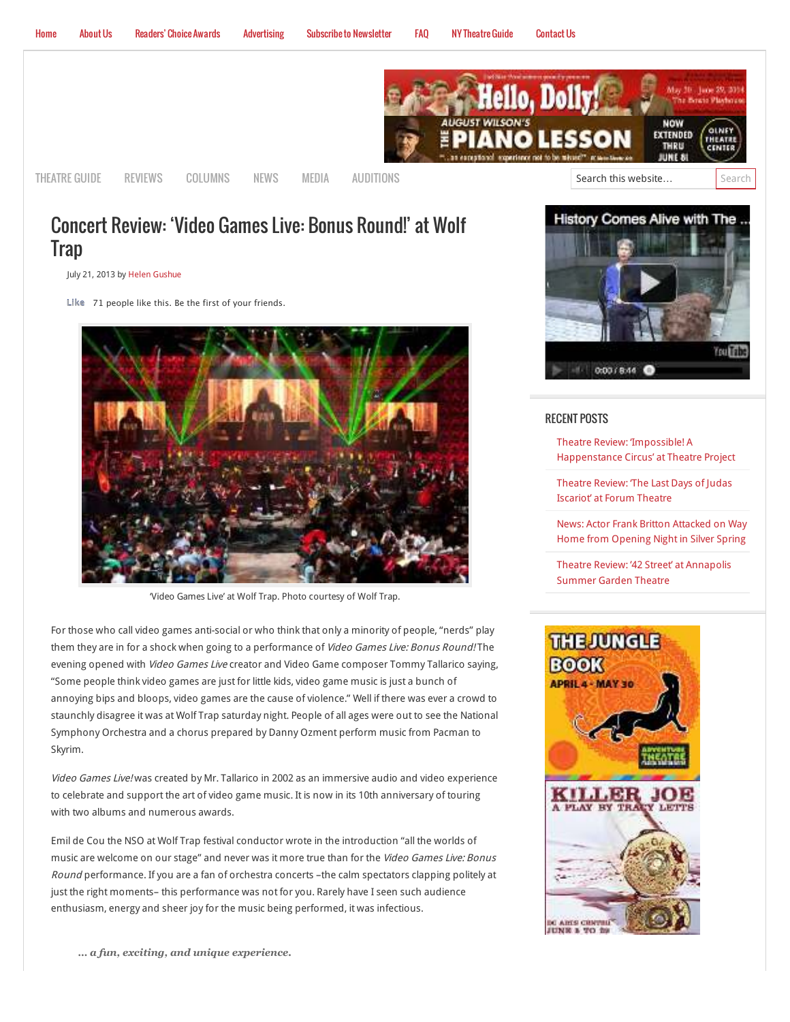

# Concert Review: 'Video Games Live: Bonus Round!' at Wolf **Trap**

July 21, 2013 by [Helen Gushue](http://www.mdtheatreguide.com/author/helengushue/)

**Like** 71 people like this. Be the first of your friends.



'Video Games Live' at Wolf Trap. Photo courtesy of Wolf Trap.

For those who call video games anti-social or who think that only a minority of people, "nerds" play them they are in for a shock when going to a performance of Video Games Live: Bonus Round! The evening opened with Video Games Live creator and Video Game composer Tommy Tallarico saying, "Some people think video games are just for little kids, video game music is just a bunch of annoying bips and bloops, video games are the cause of violence." Well if there was ever a crowd to staunchly disagree it was at Wolf Trap saturday night. People of all ages were out to see the National Symphony Orchestra and a chorus prepared by Danny Ozment perform music from Pacman to Skyrim.

Video Games Live! was created by Mr. Tallarico in 2002 as an immersive audio and video experience to celebrate and support the art of video game music. It is now in its 10th anniversary of touring with two albums and numerous awards.

Emil de Cou the NSO at Wolf Trap festival conductor wrote in the introduction "all the worlds of music are welcome on our stage" and never was it more true than for the Video Games Live: Bonus Round performance. If you are a fan of orchestra concerts –the calm spectators clapping politely at just the right moments– this performance was not for you. Rarely have I seen such audience enthusiasm, energy and sheer joy for the music being performed, it was infectious.



### RECENT POSTS

Theatre Review: 'Impossible! A [Happenstance Circus' at Theatre Project](http://www.mdtheatreguide.com/2014/05/theatre-review-impossible-a-happenstance-circus-at-theatre-project/)

Theatre Review: The Last Days of Judas Iscariot' at Forum Theatre

[News: Actor Frank Britton Attacked on Way](http://www.mdtheatreguide.com/2014/05/news-actor-frank-britton-attacked-on-way-home-from-opening-night-in-silver-spring/) Home from Opening Night in Silver Spring

[Theatre Review: '42 Street' at Annapolis](http://www.mdtheatreguide.com/2014/05/theatre-review-42-street-at-annapolis-summer-garden-theatre/) Summer Garden Theatre



*… a fun, exciting, and unique experience.*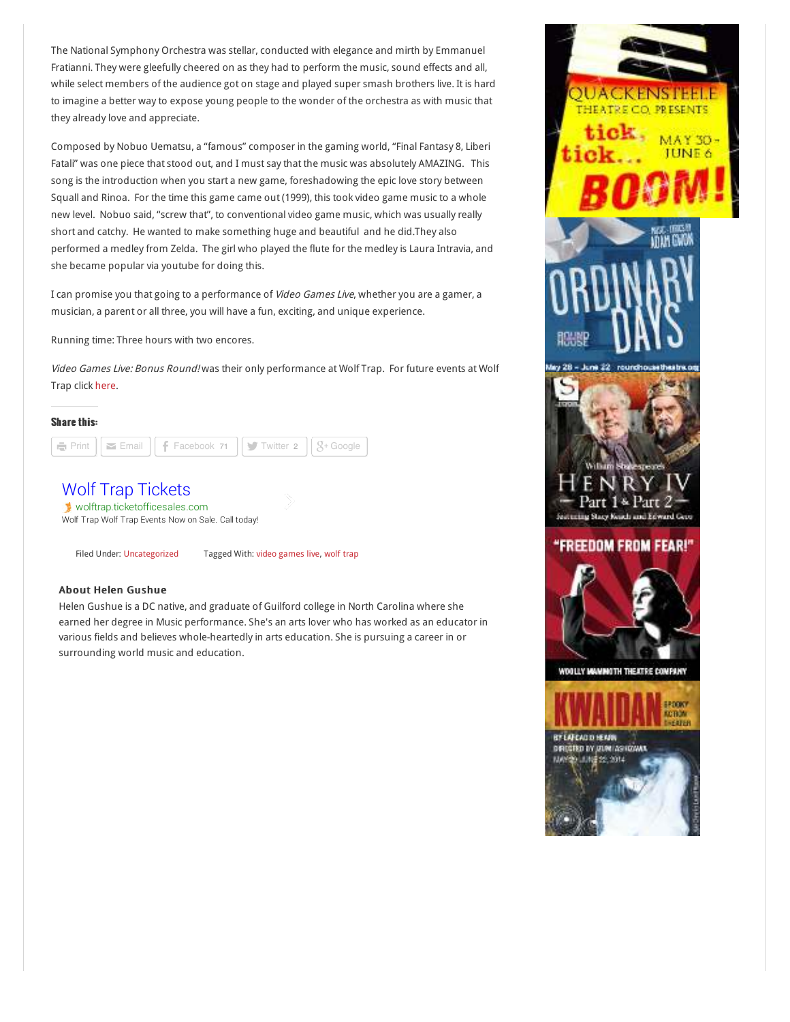The National Symphony Orchestra was stellar, conducted with elegance and mirth by Emmanuel Fratianni. They were gleefully cheered on as they had to perform the music, sound effects and all, while select members of the audience got on stage and played super smash brothers live. It is hard to imagine a better way to expose young people to the wonder of the orchestra as with music that they already love and appreciate.

Composed by Nobuo Uematsu, a "famous" composer in the gaming world, "Final Fantasy 8, Liberi Fatali" was one piece that stood out, and I must say that the music was absolutely AMAZING. This song is the introduction when you start a new game, foreshadowing the epic love story between Squall and Rinoa. For the time this game came out (1999), this took video game music to a whole new level. Nobuo said, "screw that", to conventional video game music, which was usually really short and catchy. He wanted to make something huge and beautiful and he did.They also performed a medley from Zelda. The girl who played the flute for the medley is Laura Intravia, and she became popular via youtube for doing this.

I can promise you that going to a performance of Video Games Live, whether you are a gamer, a musician, a parent or all three, you will have a fun, exciting, and unique experience.

Running time: Three hours with two encores.

Video Games Live: Bonus Round! was their only performance at Wolf Trap. For future events at Wolf Trap click [here.](http://www.wolftrap.org/)

#### Share this:



# [Wolf Trap Tickets](http://www.googleadservices.com/pagead/aclk?sa=L&ai=CE-y25KKHU86sNrCulALJuYHwDYqwnfkF6pLK4qUBwI23ARABIMWFzwNQ_o3Q4_3_____AWDJ_oGHyKOQGaABjvamywPIAQGoAwHIA8MEqgTFAU_QFREdJ3cIvYYUIoBljx46rQqGBmOHotScvFpeEClVlx779mT2K2GOap1yXbVis0yCcCHJtdmPMKZQjQIOJqRzqx16r7fOyGPUS3UPP_QPEmKu3gjwS9o0Vmc1hcwY8SIalZAtjSshbcwVRLKilRfFICl2lyWlLwGanDsWId8Gi6dK1NUMIr2fT8HFtcplX-176OCXAO6bYkTgSmXP64H6KXhSwZvX1303WZZMKCgPzUrPfBQ1kyeZz1I45sKHB1gz23kMiAYBgAfaidk0&num=1&cid=5Gi9lLELoAE2ApgoW-8EtrgF&sig=AOD64_19o8JSA3XxD1n7iTr1k-5qRaZ8bw&client=ca-pub-4495408501675319&adurl=http://www.ticketofficesales.com/venue/wolf-trap-tickets-for-sale.aspx)

[wolftrap.ticketofficesales.com](http://www.googleadservices.com/pagead/aclk?sa=L&ai=CE-y25KKHU86sNrCulALJuYHwDYqwnfkF6pLK4qUBwI23ARABIMWFzwNQ_o3Q4_3_____AWDJ_oGHyKOQGaABjvamywPIAQGoAwHIA8MEqgTFAU_QFREdJ3cIvYYUIoBljx46rQqGBmOHotScvFpeEClVlx779mT2K2GOap1yXbVis0yCcCHJtdmPMKZQjQIOJqRzqx16r7fOyGPUS3UPP_QPEmKu3gjwS9o0Vmc1hcwY8SIalZAtjSshbcwVRLKilRfFICl2lyWlLwGanDsWId8Gi6dK1NUMIr2fT8HFtcplX-176OCXAO6bYkTgSmXP64H6KXhSwZvX1303WZZMKCgPzUrPfBQ1kyeZz1I45sKHB1gz23kMiAYBgAfaidk0&num=1&cid=5Gi9lLELoAE2ApgoW-8EtrgF&sig=AOD64_19o8JSA3XxD1n7iTr1k-5qRaZ8bw&client=ca-pub-4495408501675319&adurl=http://www.ticketofficesales.com/venue/wolf-trap-tickets-for-sale.aspx) Wolf Trap Wolf Trap Events Now on Sale. Call today!

Filed Under: [Uncategorized](http://www.mdtheatreguide.com/category/uncategorized/) Tagged With: [video games live,](http://www.mdtheatreguide.com/tag/video-games-live/) [wolf trap](http://www.mdtheatreguide.com/tag/wolf-trap/)

## About Helen Gushue

Helen Gushue is a DC native, and graduate of Guilford college in North Carolina where she earned her degree in Music performance. She's an arts lover who has worked as an educator in various fields and believes whole-heartedly in arts education. She is pursuing a career in or surrounding world music and education.